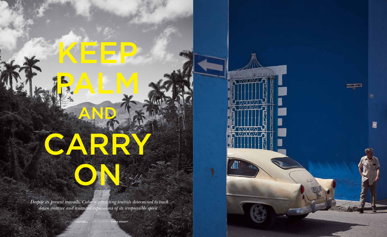

m

an

**D** 

CARRY

ON STREET

*Despite its present travails, Cuba is attracting tourists determined to track down creative and nuanced expressions of its irrepressible spirit* 

palau

story lydia bell Photography rama knight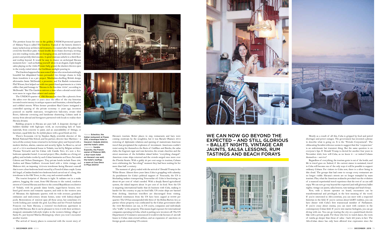The prettiest house for rent in the golden, UNESCO-protected quarter of Habana Vieja is called The Gardens. Typical of the historic district's many tucked-away architectural treasures, it is named after the palms that crowd the first-floor patio. Grand double doors frame doorways, inviting you into reading rooms, alfresco lounging areas, and bedrooms with fourposters and prettily tiled ensuites. A spiral staircase unfurls to a third floor and rooftop beyond. It would be easy to chance on archetypal Havana moments here – such as finding yourself alone in an elegant, triple-height salon playing on the 1920s Premier baby grand, the shutters thrown open to the rowdy, rutted street, the Caribbean sunlight pouring in.

The Gardens happened be<mark>cause some Cub</mark>ans who owned astonishingly beautiful but dilapidated homes persuaded two foreign chums to help them transform it as a pet project. Manhattan-dwelling British design aficionados Jamie McDonald, a presenter, and Fat Radish restaurateur Phil Winser, first helped out with two pastel-hued apartments in a 1940s edifice that paid homage to "Havana in the fun-time 1950s", according to McDonald. "But The Gardens mirrors a time when colonial social clubs were more in vogue than cabaret and casinos.

> Havana's tourism. Better places to stay, restaurants and bars were coming onstream by the noughties, but it was Barack Obama's 2014 restoring of diplomatic relations and opening of mainstream American travel that precipitated the explosion of investment. Americans couldn't resist seeing for themselves the fleets of Cadillacs and Buicks; the salsa clubs; the fragrant cigar and rum factories; the ornate churches and the street musicians of the forbidden island before "everything changed". American cruise ships returned and the crowds surged once more over the Florida Straits. With a giddy 20 per cent surge in tourism, Cubans were celebrating the "ker-ching!" moment they had been waiting for for more than half a century.

> The moment of glory ended with the arrival of Donald Trump in the White House. Almost three years later, Cuba is grappling with calamity. As punishment for Cuba's political support of Venezuela, the US is blockading tankers transporting Venezuelan oil. Cuba is functioning on about 60 per cent of what's needed. With a deeply flawed agricultural system, the island imports about 70 per cent of its food. Now the US is targeting international banks that do business with Cuba, making it harder for the country to pay its food bills. US cruise ships are banned from docking. American travellers are discouraged from visiting. Permitted remittances from the US have been capped at \$1000 per quarter. The US has unsuspended title three of the Helms Burton Act, so parties whose property was confiscated by the Cuban government after the 1959 Revolution can sue, in US courts, companies and individuals who "traffic" in the property. This means legal exposure for international companies operating in Cuba, which is putting new investors off. The US Department of Commerce announced it would revoke licenses of aircraft leases to Cuban state-owned airlines, and an expansion of sanctions on foreign goods containing US content.









The UNESCO quarter of Old Havana has risen like a phoenix from the ashes over the past 15 years since the office of the city historian invested tourist money in antique squares and fountains, colonial façades and cobbled streets. When former president Raul Castro instigated a controlled opening of the private economy 11 years ago, investors pounced on marble staircases, wrought-iron balconies, ornate tiled floors, elaborate cornicing and handsome shuttering. Cubans sank in money from abroad and foreigners partnered with locals to realise their Havana dreams.

Building projects in Havana are pure hell. A desperate shortage of builders familiar with high-spec work, an excruciating lack of basic materials, from concrete to paint, and an unavailability of fittings, or furniture, equal little fun. So stylish places with a good finish are few.

Above: Eclectico, the Italian restaurant at Paseo 206, a boutique hotel in Havana's Vedado district, and the hotel's salon. osite: **Sandra** Exposito, the French owner of Malecon 663, a room at Casa Deco in Playa district

There's Economía 156 by Stephen Bayly, erstwhile director of the British National Film School, and his partner, director Jazz Martinez – a turn-of-the-century home returned to its former glory and beyond with a modern kitchen, alarms, cameras and security lights. La Reserva, carved out of a 1914 neoclassical house in Vedado, was led by Belgian architect Thomas Verwacht and his Cuban wife Camila Yero; it's now a fivebedroom upmarket hostel. A second project, Oleo, doubles as a living art **a** four-room hotel gallery and includes works by such Cuban luminaries as Choco, Servando **on Havana's sea wall;** Cabrera and Nelson Dominguez. Tiny private hotels include Paseo 206, the hotel's rooftop; Andrea and Diana Gallina's 10-room hotel with a 1930s vintage; and Malecon 663, an imposing 1912-era townhouse facing Havana's seawall that is now a four-bedroom hotel owned by a French-Cuban couple. Loma del Angel, a Catalan-funded two-bedroom hotel carved out of a long, thin townhouse in the Old Town, is chic, cosy and scented-candle-lit.

The tourist footprint of Havana is tight. It radiates out in a snake pattern, hugging the coast, from Old Havana to the rutted, rundown streets of Central Havana and then to the central Republican-era district of Vedado, with its grande dame hotels, sugar-baron houses, treelined grid streets and romantic squares, and ends in the western area of Miramar, the diplomatic quarter, with its wide avenues, grandiose embassies and mid-century dream homes, some with kidney-shaped pools. Restorations of interest span all these areas, but sometimes it's worth looking just outside the grid. Lea Diaz and her French husband Francois run Suite Havana, a restored two-bedroom apartment in rowdy Old Havana. But it can be pleasant to twin it with their architectdesigned, minimalist loft-style triplex in the western fishing village of Santa Fe, just beyond Marina Hemingway, where you won't encounter another tourist.

The arrival of luxury places is connected with the recent story of





Mostly as a result of all this, Cuba is gripped by food and petrol shortages and power outages. The government has invented a phrase to describe what is going on. It is the "Periodo Conyuntural". The obfuscating Socialist reference seems to suggest that this "conjuncture" is an unfortunate but transient thing. But the same question is on everyone's lips: If Donald Trump is elected for another four years in November 2020, how will Cuba, as we know it – or indeed Cubans themselves – survive?

Regardless of everything, the tourism genie is out of the bottle, and life in travel goes on. Indeed, if the current stance is sustained, travel to Cuba will become one of the only ways it will be possible to support ordinary Cubans. For visitors to Cuba now, there is a silver lining in this cloud. The groups that had come to occupy every restaurant are no longer visible. Havana's streets are no longer trampled by mass tourism. Plus, what the American avalanche provoked was the evolution of a nuanced experiential travel experience that the rest of us can still enjoy. We can now go way beyond the expected (and still glorious) ballet nights, vintage car jaunts, salsa lessons, rum tastings and beach forays.

Now, with a decent operator on board, encounters can be transformational and privileged, in the best meaning of the word. If you're interested in Afro-centrism, you can meet with a respected historian in the field. If you're curious about LGBT realities, you can have dinner with Cuba's first transsexual member of Parliament. If you're crazy about cinema, you can meet with curators in the contemporary Cuban field. If you're into marine biologists, you can go diving with one. You can go touring the city on a pastel-hued electric bike with a private guide. For those who love to watch dance, the roots of rumba go deeper than those of salsa – back 400 years, in fact. The Afro-Cuban dance has only been allowed true expression since the

## WE CAN NOW GO BEYOND THE EXPECTED – AND STILL glorious – ballet nights, vintage car jaunts, salsa lessons, rum tastings and beach forays